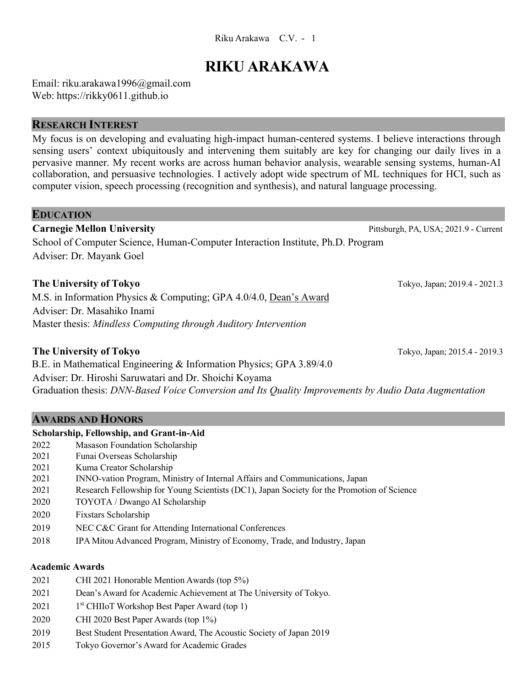#### Riku Arakawa C.V. - 1

# **RIKU ARAKAWA**

Email: riku.arakawa1996@gmail.com Web: https://rikky0611.github.io

#### **RESEARCH INTEREST**

My focus is on developing and evaluating high-impact human-centered systems. I believe interactions through sensing users' context ubiquitously and intervening them suitably are key for changing our daily lives in a pervasive manner. My recent works are across human behavior analysis, wearable sensing systems, human-AI collaboration, and persuasive technologies. I actively adopt wide spectrum of ML techniques for HCI, such as computer vision, speech processing (recognition and synthesis), and natural language processing.

## **EDUCATION Carnegie Mellon University** Pittsburgh, PA, USA; 2021.9 - Current School of Computer Science, Human-Computer Interaction Institute, Ph.D. Program Adviser: Dr. Mayank Goel **The University of Tokyo** Tokyo, Japan; 2019.4 - 2021.3 M.S. in Information Physics & Computing; GPA 4.0/4.0, Dean's Award Adviser: Dr. Masahiko Inami Master thesis: *Mindless Computing through Auditory Intervention*

#### **The University of Tokyo** Tokyo, Japan; 2015.4 - 2019.3

B.E. in Mathematical Engineering & Information Physics; GPA 3.89/4.0 Adviser: Dr. Hiroshi Saruwatari and Dr. Shoichi Koyama Graduation thesis: *DNN-Based Voice Conversion and Its Quality Improvements by Audio Data Augmentation*

#### **AWARDS AND HONORS**

#### **Scholarship, Fellowship, and Grant-in-Aid**

- 2022 Masason Foundation Scholarship
- 2021 Funai Overseas Scholarship
- 2021 Kuma Creator Scholarship
- 2021 INNO-vation Program, Ministry of Internal Affairs and Communications, Japan
- 2021 Research Fellowship for Young Scientists (DC1), Japan Society for the Promotion of Science
- 2020 TOYOTA / Dwango AI Scholarship
- 2020 Fixstars Scholarship
- 2019 NEC C&C Grant for Attending International Conferences
- 2018 IPA Mitou Advanced Program, Ministry of Economy, Trade, and Industry, Japan

#### **Academic Awards**

- 2021 CHI 2021 Honorable Mention Awards (top 5%) 2021 Dean's Award for Academic Achievement at The University of Tokyo.  $2021$  1<sup>st</sup> CHIIoT Workshop Best Paper Award (top 1) 2020 CHI 2020 Best Paper Awards (top 1%) 2019 Best Student Presentation Award, The Acoustic Society of Japan 2019
- 2015 Tokyo Governor's Award for Academic Grades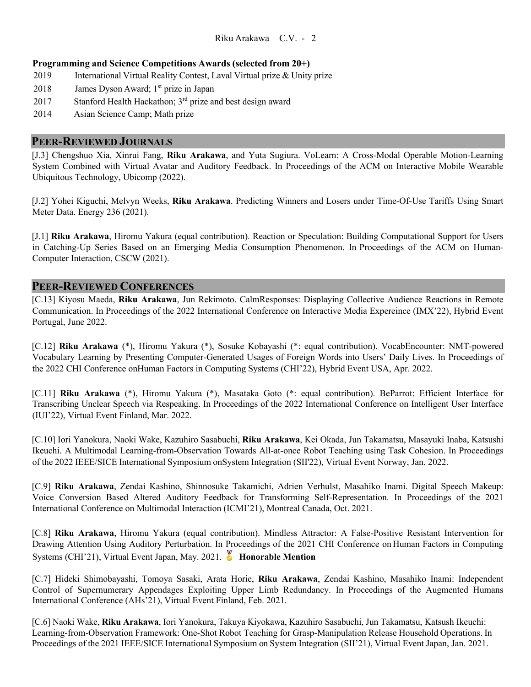#### **Programming and Science Competitions Awards (selected from 20+)**

- 2019 International Virtual Reality Contest, Laval Virtual prize & Unity prize
- 2018 James Dyson Award;  $1<sup>st</sup>$  prize in Japan
- 2017 Stanford Health Hackathon;  $3<sup>rd</sup>$  prize and best design award
- 2014 Asian Science Camp; Math prize

#### **PEER-REVIEWED JOURNALS**

[J.3] Chengshuo Xia, Xinrui Fang, **Riku Arakawa**, and Yuta Sugiura. VoLearn: A Cross-Modal Operable Motion-Learning System Combined with Virtual Avatar and Auditory Feedback. In Proceedings of the ACM on Interactive Mobile Wearable Ubiquitous Technology, Ubicomp (2022).

[J.2] Yohei Kiguchi, Melvyn Weeks, **Riku Arakawa**. Predicting Winners and Losers under Time-Of-Use Tariffs Using Smart Meter Data. Energy 236 (2021).

[J.1] **Riku Arakawa**, Hiromu Yakura (equal contribution). Reaction or Speculation: Building Computational Support for Users in Catching-Up Series Based on an Emerging Media Consumption Phenomenon. In Proceedings of the ACM on Human-Computer Interaction, CSCW (2021).

#### **PEER-REVIEWED CONFERENCES**

[C.13] Kiyosu Maeda, **Riku Arakawa**, Jun Rekimoto. CalmResponses: Displaying Collective Audience Reactions in Remote Communication. In Proceedings of the 2022 International Conference on Interactive Media Expereince (IMX'22), Hybrid Event Portugal, June 2022.

[C.12] **Riku Arakawa** (\*), Hiromu Yakura (\*), Sosuke Kobayashi (\*: equal contribution). VocabEncounter: NMT-powered Vocabulary Learning by Presenting Computer-Generated Usages of Foreign Words into Users' Daily Lives. In Proceedings of the 2022 CHI Conference onHuman Factors in Computing Systems (CHI'22), Hybrid Event USA, Apr. 2022.

[C.11] **Riku Arakawa** (\*), Hiromu Yakura (\*), Masataka Goto (\*: equal contribution). BeParrot: Efficient Interface for Transcribing Unclear Speech via Respeaking. In Proceedings of the 2022 International Conference on Intelligent User Interface (IUI'22), Virtual Event Finland, Mar. 2022.

[C.10] Iori Yanokura, Naoki Wake, Kazuhiro Sasabuchi, **Riku Arakawa**, Kei Okada, Jun Takamatsu, Masayuki Inaba, Katsushi Ikeuchi. A Multimodal Learning-from-Observation Towards All-at-once Robot Teaching using Task Cohesion. In Proceedings of the 2022 IEEE/SICE International Symposium onSystem Integration (SII'22), Virtual Event Norway, Jan. 2022.

[C.9] **Riku Arakawa**, Zendai Kashino, Shinnosuke Takamichi, Adrien Verhulst, Masahiko Inami. Digital Speech Makeup: Voice Conversion Based Altered Auditory Feedback for Transforming Self-Representation. In Proceedings of the 2021 International Conference on Multimodal Interaction (ICMI'21), Montreal Canada, Oct. 2021.

[C.8] **Riku Arakawa**, Hiromu Yakura (equal contribution). Mindless Attractor: A False-Positive Resistant Intervention for Drawing Attention Using Auditory Perturbation. In Proceedings of the 2021 CHI Conference on Human Factors in Computing Systems (CHI'21), Virtual Event Japan, May. 2021. **Honorable Mention** 

[C.7] Hideki Shimobayashi, Tomoya Sasaki, Arata Horie, **Riku Arakawa**, Zendai Kashino, Masahiko Inami: Independent Control of Supernumerary Appendages Exploiting Upper Limb Redundancy. In Proceedings of the Augmented Humans International Conference (AHs'21), Virtual Event Finland, Feb. 2021.

[C.6] Naoki Wake, **Riku Arakawa**, Iori Yanokura, Takuya Kiyokawa, Kazuhiro Sasabuchi, Jun Takamatsu, Katsush Ikeuchi: Learning-from-Observation Framework: One-Shot Robot Teaching for Grasp-Manipulation Release Household Operations. In Proceedings of the 2021 IEEE/SICE International Symposium on System Integration (SII'21), Virtual Event Japan, Jan. 2021.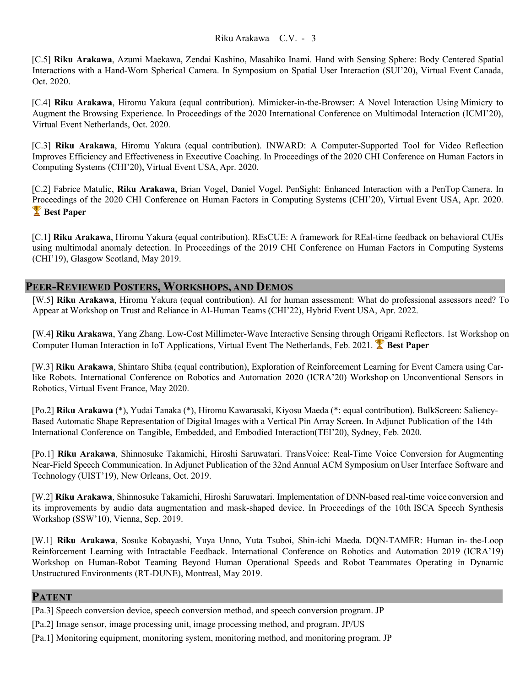#### Riku Arakawa C.V. - 3

[C.5] **Riku Arakawa**, Azumi Maekawa, Zendai Kashino, Masahiko Inami. Hand with Sensing Sphere: Body Centered Spatial Interactions with a Hand-Worn Spherical Camera. In Symposium on Spatial User Interaction (SUI'20), Virtual Event Canada, Oct. 2020.

[C.4] **Riku Arakawa**, Hiromu Yakura (equal contribution). Mimicker-in-the-Browser: A Novel Interaction Using Mimicry to Augment the Browsing Experience. In Proceedings of the 2020 International Conference on Multimodal Interaction (ICMI'20), Virtual Event Netherlands, Oct. 2020.

[C.3] **Riku Arakawa**, Hiromu Yakura (equal contribution). INWARD: A Computer-Supported Tool for Video Reflection Improves Efficiency and Effectiveness in Executive Coaching. In Proceedings of the 2020 CHI Conference on Human Factors in Computing Systems (CHI'20), Virtual Event USA, Apr. 2020.

[C.2] Fabrice Matulic, **Riku Arakawa**, Brian Vogel, Daniel Vogel. PenSight: Enhanced Interaction with a PenTop Camera. In Proceedings of the 2020 CHI Conference on Human Factors in Computing Systems (CHI'20), Virtual Event USA, Apr. 2020. **Best Paper**

[C.1] **Riku Arakawa**, Hiromu Yakura (equal contribution). REsCUE: A framework for REal-time feedback on behavioral CUEs using multimodal anomaly detection. In Proceedings of the 2019 CHI Conference on Human Factors in Computing Systems (CHI'19), Glasgow Scotland, May 2019.

#### **PEER-REVIEWED POSTERS, WORKSHOPS, AND DEMOS**

[W.5] **Riku Arakawa**, Hiromu Yakura (equal contribution). AI for human assessment: What do professional assessors need? To Appear at Workshop on Trust and Reliance in AI-Human Teams (CHI'22), Hybrid Event USA, Apr. 2022.

[W.4] **Riku Arakawa**, Yang Zhang. Low-Cost Millimeter-Wave Interactive Sensing through Origami Reflectors. 1st Workshop on Computer Human Interaction in IoT Applications, Virtual Event The Netherlands, Feb. 2021. **Best Paper** 

[W.3] **Riku Arakawa**, Shintaro Shiba (equal contribution), Exploration of Reinforcement Learning for Event Camera using Carlike Robots. International Conference on Robotics and Automation 2020 (ICRA'20) Workshop on Unconventional Sensors in Robotics, Virtual Event France, May 2020.

[Po.2] **Riku Arakawa** (\*), Yudai Tanaka (\*), Hiromu Kawarasaki, Kiyosu Maeda (\*: equal contribution). BulkScreen: Saliency-Based Automatic Shape Representation of Digital Images with a Vertical Pin Array Screen. In Adjunct Publication of the 14th International Conference on Tangible, Embedded, and Embodied Interaction(TEI'20), Sydney, Feb. 2020.

[Po.1] **Riku Arakawa**, Shinnosuke Takamichi, Hiroshi Saruwatari. TransVoice: Real-Time Voice Conversion for Augmenting Near-Field Speech Communication. In Adjunct Publication of the 32nd Annual ACM Symposium onUser Interface Software and Technology (UIST'19), New Orleans, Oct. 2019.

[W.2] **Riku Arakawa**, Shinnosuke Takamichi, Hiroshi Saruwatari. Implementation of DNN-based real-time voice conversion and its improvements by audio data augmentation and mask-shaped device. In Proceedings of the 10th ISCA Speech Synthesis Workshop (SSW'10), Vienna, Sep. 2019.

[W.1] **Riku Arakawa**, Sosuke Kobayashi, Yuya Unno, Yuta Tsuboi, Shin-ichi Maeda. DQN-TAMER: Human in- the-Loop Reinforcement Learning with Intractable Feedback. International Conference on Robotics and Automation 2019 (ICRA'19) Workshop on Human-Robot Teaming Beyond Human Operational Speeds and Robot Teammates Operating in Dynamic Unstructured Environments (RT-DUNE), Montreal, May 2019.

#### **PATENT**

- [Pa.2] Image sensor, image processing unit, image processing method, and program. JP/US
- [Pa.1] Monitoring equipment, monitoring system, monitoring method, and monitoring program. JP

<sup>[</sup>Pa.3] Speech conversion device, speech conversion method, and speech conversion program. JP